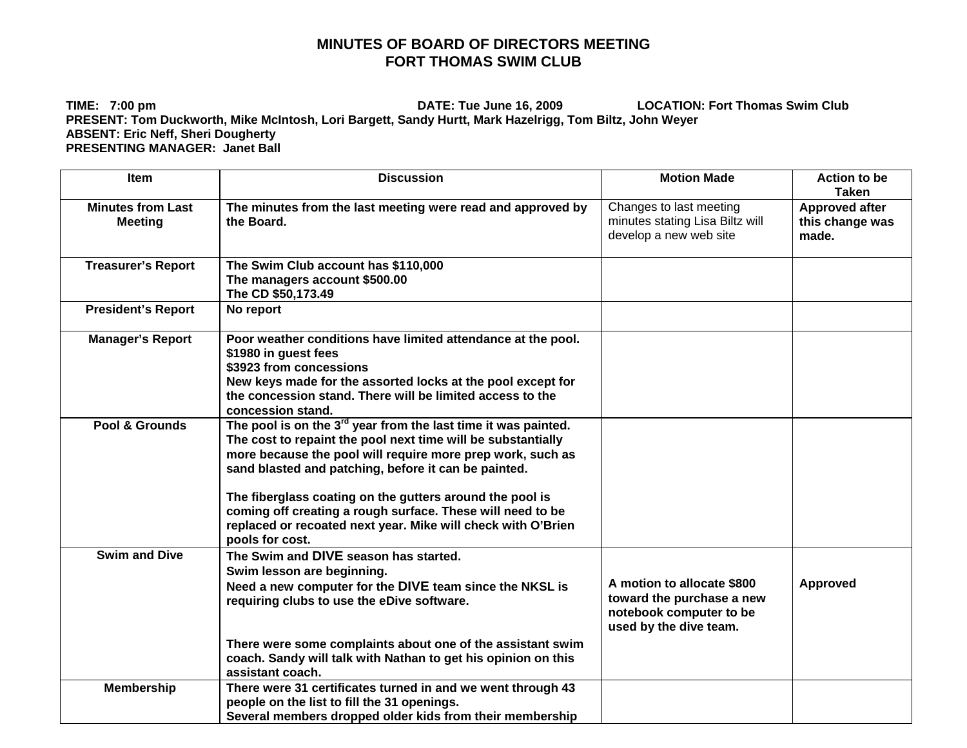## **MINUTES OF BOARD OF DIRECTORS MEETING FORT THOMAS SWIM CLUB**

**TIME: 7:00 pm DATE: Tue June 16, 2009 LOCATION: Fort Thomas Swim Club PRESENT: Tom Duckworth, Mike McIntosh, Lori Bargett, Sandy Hurtt, Mark Hazelrigg, Tom Biltz, John Weyer ABSENT: Eric Neff, Sheri Dougherty PRESENTING MANAGER: Janet Ball** 

| <b>Item</b>                                | <b>Discussion</b>                                                                                                                                                                                                                                                                                                                                                                                                                                                   | <b>Motion Made</b>                                                                                           | <b>Action to be</b><br><b>Taken</b>               |
|--------------------------------------------|---------------------------------------------------------------------------------------------------------------------------------------------------------------------------------------------------------------------------------------------------------------------------------------------------------------------------------------------------------------------------------------------------------------------------------------------------------------------|--------------------------------------------------------------------------------------------------------------|---------------------------------------------------|
| <b>Minutes from Last</b><br><b>Meeting</b> | The minutes from the last meeting were read and approved by<br>the Board.                                                                                                                                                                                                                                                                                                                                                                                           | Changes to last meeting<br>minutes stating Lisa Biltz will<br>develop a new web site                         | <b>Approved after</b><br>this change was<br>made. |
| <b>Treasurer's Report</b>                  | The Swim Club account has \$110,000<br>The managers account \$500.00<br>The CD \$50,173.49                                                                                                                                                                                                                                                                                                                                                                          |                                                                                                              |                                                   |
| <b>President's Report</b>                  | No report                                                                                                                                                                                                                                                                                                                                                                                                                                                           |                                                                                                              |                                                   |
| <b>Manager's Report</b>                    | Poor weather conditions have limited attendance at the pool.<br>\$1980 in guest fees<br>\$3923 from concessions<br>New keys made for the assorted locks at the pool except for<br>the concession stand. There will be limited access to the<br>concession stand.                                                                                                                                                                                                    |                                                                                                              |                                                   |
| Pool & Grounds                             | The pool is on the $3rd$ year from the last time it was painted.<br>The cost to repaint the pool next time will be substantially<br>more because the pool will require more prep work, such as<br>sand blasted and patching, before it can be painted.<br>The fiberglass coating on the gutters around the pool is<br>coming off creating a rough surface. These will need to be<br>replaced or recoated next year. Mike will check with O'Brien<br>pools for cost. |                                                                                                              |                                                   |
| <b>Swim and Dive</b>                       | The Swim and DIVE season has started.<br>Swim lesson are beginning.<br>Need a new computer for the DIVE team since the NKSL is<br>requiring clubs to use the eDive software.<br>There were some complaints about one of the assistant swim<br>coach. Sandy will talk with Nathan to get his opinion on this                                                                                                                                                         | A motion to allocate \$800<br>toward the purchase a new<br>notebook computer to be<br>used by the dive team. | Approved                                          |
|                                            | assistant coach.                                                                                                                                                                                                                                                                                                                                                                                                                                                    |                                                                                                              |                                                   |
| <b>Membership</b>                          | There were 31 certificates turned in and we went through 43<br>people on the list to fill the 31 openings.<br>Several members dropped older kids from their membership                                                                                                                                                                                                                                                                                              |                                                                                                              |                                                   |